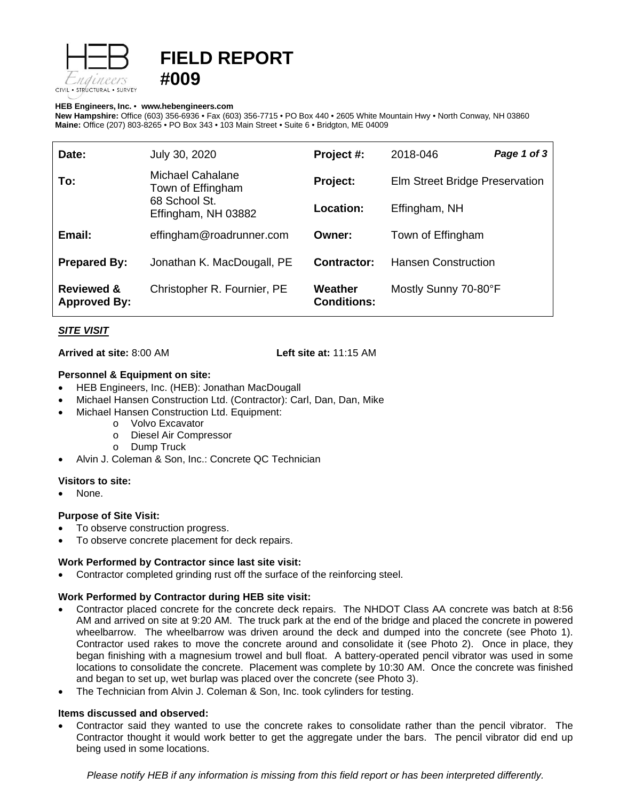

# **FIELD REPORT #009**

#### **HEB Engineers, Inc.** • **[www.hebengineer](http://www.hebengineers.com/)s.com**

**New Hampshire:** Office (603) 356-6936 • Fax (603) 356-7715 • PO Box 440 • 2605 White Mountain Hwy • North Conway, NH 03860 **Maine:** Office (207) 803-8265 • PO Box 343 • 103 Main Street • Suite 6 • Bridgton, ME 04009

| Date:                                        | July 30, 2020                                                                        | Project #:                    | 2018-046                       | Page 1 of 3 |
|----------------------------------------------|--------------------------------------------------------------------------------------|-------------------------------|--------------------------------|-------------|
| To:                                          | <b>Michael Cahalane</b><br>Town of Effingham<br>68 School St.<br>Effingham, NH 03882 | Project:                      | Elm Street Bridge Preservation |             |
|                                              |                                                                                      | Location:                     | Effingham, NH                  |             |
| Email:                                       | effingham@roadrunner.com                                                             | Owner:                        | Town of Effingham              |             |
| <b>Prepared By:</b>                          | Jonathan K. MacDougall, PE                                                           | Contractor:                   | <b>Hansen Construction</b>     |             |
| <b>Reviewed &amp;</b><br><b>Approved By:</b> | Christopher R. Fournier, PE                                                          | Weather<br><b>Conditions:</b> | Mostly Sunny 70-80°F           |             |

## *SITE VISIT*

**Arrived at site:** 8:00 AM **Left site at:** 11:15 AM

## **Personnel & Equipment on site:**

- HEB Engineers, Inc. (HEB): Jonathan MacDougall
- Michael Hansen Construction Ltd. (Contractor): Carl, Dan, Dan, Mike
- Michael Hansen Construction Ltd. Equipment:
	- o Volvo Excavator
	- o Diesel Air Compressor
	- o Dump Truck
- Alvin J. Coleman & Son, Inc.: Concrete QC Technician

## **Visitors to site:**

None.

## **Purpose of Site Visit:**

- To observe construction progress.
- To observe concrete placement for deck repairs.

## **Work Performed by Contractor since last site visit:**

• Contractor completed grinding rust off the surface of the reinforcing steel.

## **Work Performed by Contractor during HEB site visit:**

- Contractor placed concrete for the concrete deck repairs. The NHDOT Class AA concrete was batch at 8:56 AM and arrived on site at 9:20 AM. The truck park at the end of the bridge and placed the concrete in powered wheelbarrow. The wheelbarrow was driven around the deck and dumped into the concrete (see Photo 1). Contractor used rakes to move the concrete around and consolidate it (see Photo 2). Once in place, they began finishing with a magnesium trowel and bull float. A battery-operated pencil vibrator was used in some locations to consolidate the concrete. Placement was complete by 10:30 AM. Once the concrete was finished and began to set up, wet burlap was placed over the concrete (see Photo 3).
- The Technician from Alvin J. Coleman & Son, Inc. took cylinders for testing.

## **Items discussed and observed:**

• Contractor said they wanted to use the concrete rakes to consolidate rather than the pencil vibrator. The Contractor thought it would work better to get the aggregate under the bars. The pencil vibrator did end up being used in some locations.

*Please notify HEB if any information is missing from this field report or has been interpreted differently.*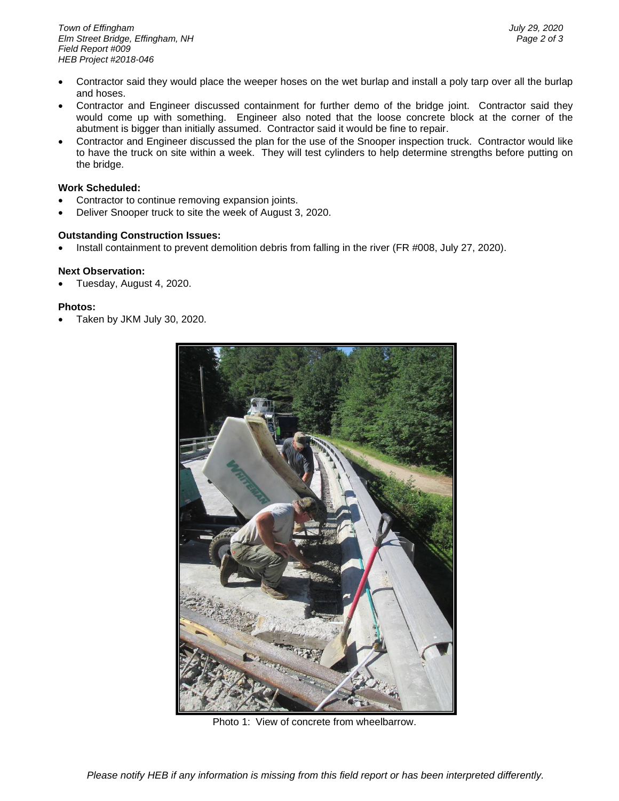- Contractor said they would place the weeper hoses on the wet burlap and install a poly tarp over all the burlap and hoses.
- Contractor and Engineer discussed containment for further demo of the bridge joint. Contractor said they would come up with something. Engineer also noted that the loose concrete block at the corner of the abutment is bigger than initially assumed. Contractor said it would be fine to repair.
- Contractor and Engineer discussed the plan for the use of the Snooper inspection truck. Contractor would like to have the truck on site within a week. They will test cylinders to help determine strengths before putting on the bridge.

### **Work Scheduled:**

- Contractor to continue removing expansion joints.
- Deliver Snooper truck to site the week of August 3, 2020.

## **Outstanding Construction Issues:**

• Install containment to prevent demolition debris from falling in the river (FR #008, July 27, 2020).

#### **Next Observation:**

• Tuesday, August 4, 2020.

### **Photos:**

• Taken by JKM July 30, 2020.



Photo 1: View of concrete from wheelbarrow.